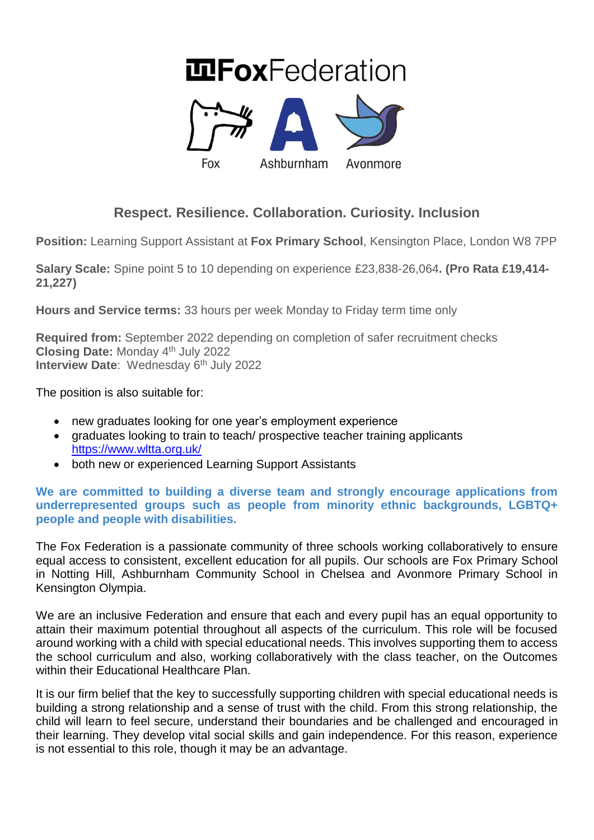# **InFoxFederation**



# **Respect. Resilience. Collaboration. Curiosity. Inclusion**

**Position:** Learning Support Assistant at **Fox Primary School**, Kensington Place, London W8 7PP

**Salary Scale:** Spine point 5 to 10 depending on experience £23,838-26,064**. (Pro Rata £19,414- 21,227)**

**Hours and Service terms:** 33 hours per week Monday to Friday term time only

**Required from:** September 2022 depending on completion of safer recruitment checks **Closing Date:** Monday 4 th July 2022 **Interview Date: Wednesday 6th July 2022** 

The position is also suitable for:

- new graduates looking for one year's employment experience
- graduates looking to train to teach/ prospective teacher training applicants <https://www.wltta.org.uk/>
- both new or experienced Learning Support Assistants

### **We are committed to building a diverse team and strongly encourage applications from underrepresented groups such as people from minority ethnic backgrounds, LGBTQ+ people and people with disabilities.**

The Fox Federation is a passionate community of three schools working collaboratively to ensure equal access to consistent, excellent education for all pupils. Our schools are Fox Primary School in Notting Hill, Ashburnham Community School in Chelsea and Avonmore Primary School in Kensington Olympia.

We are an inclusive Federation and ensure that each and every pupil has an equal opportunity to attain their maximum potential throughout all aspects of the curriculum. This role will be focused around working with a child with special educational needs. This involves supporting them to access the school curriculum and also, working collaboratively with the class teacher, on the Outcomes within their Educational Healthcare Plan.

It is our firm belief that the key to successfully supporting children with special educational needs is building a strong relationship and a sense of trust with the child. From this strong relationship, the child will learn to feel secure, understand their boundaries and be challenged and encouraged in their learning. They develop vital social skills and gain independence. For this reason, experience is not essential to this role, though it may be an advantage.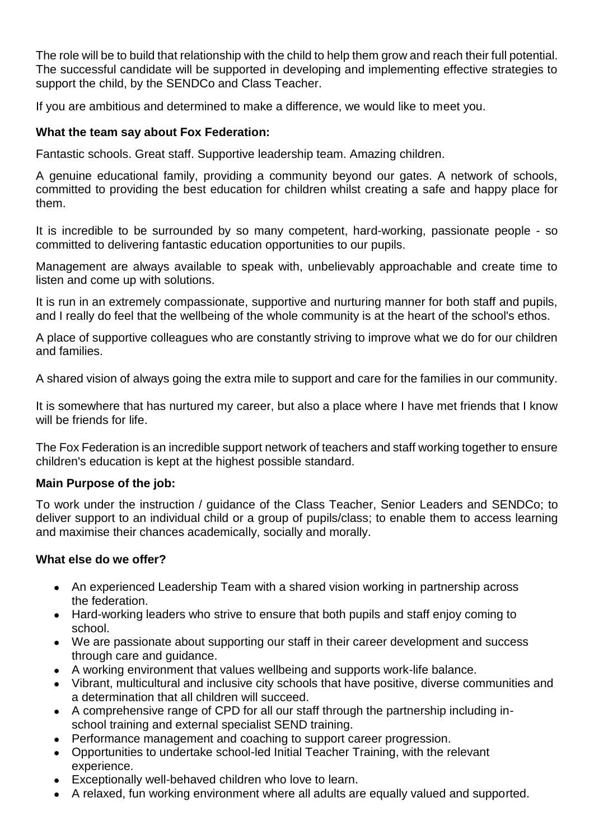The role will be to build that relationship with the child to help them grow and reach their full potential. The successful candidate will be supported in developing and implementing effective strategies to support the child, by the SENDCo and Class Teacher.

If you are ambitious and determined to make a difference, we would like to meet you.

# **What the team say about Fox Federation:**

Fantastic schools. Great staff. Supportive leadership team. Amazing children.

A genuine educational family, providing a community beyond our gates. A network of schools, committed to providing the best education for children whilst creating a safe and happy place for them.

It is incredible to be surrounded by so many competent, hard-working, passionate people - so committed to delivering fantastic education opportunities to our pupils.

Management are always available to speak with, unbelievably approachable and create time to listen and come up with solutions.

It is run in an extremely compassionate, supportive and nurturing manner for both staff and pupils, and I really do feel that the wellbeing of the whole community is at the heart of the school's ethos.

A place of supportive colleagues who are constantly striving to improve what we do for our children and families.

A shared vision of always going the extra mile to support and care for the families in our community.

It is somewhere that has nurtured my career, but also a place where I have met friends that I know will be friends for life.

The Fox Federation is an incredible support network of teachers and staff working together to ensure children's education is kept at the highest possible standard.

#### **Main Purpose of the job:**

To work under the instruction / guidance of the Class Teacher, Senior Leaders and SENDCo; to deliver support to an individual child or a group of pupils/class; to enable them to access learning and maximise their chances academically, socially and morally.

# **What else do we offer?**

- An experienced Leadership Team with a shared vision working in partnership across the federation.
- Hard-working leaders who strive to ensure that both pupils and staff enjoy coming to school.
- We are passionate about supporting our staff in their career development and success through care and guidance.
- A working environment that values wellbeing and supports work-life balance.
- Vibrant, multicultural and inclusive city schools that have positive, diverse communities and a determination that all children will succeed.
- A comprehensive range of CPD for all our staff through the partnership including inschool training and external specialist SEND training.
- Performance management and coaching to support career progression.
- Opportunities to undertake school-led Initial Teacher Training, with the relevant experience.
- Exceptionally well-behaved children who love to learn.
- A relaxed, fun working environment where all adults are equally valued and supported.